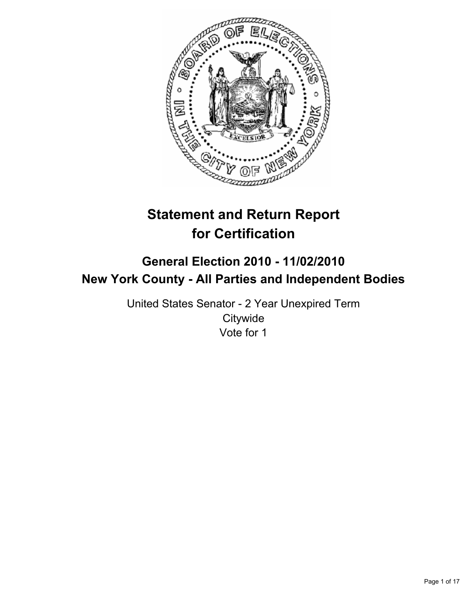

# **Statement and Return Report for Certification**

# **General Election 2010 - 11/02/2010 New York County - All Parties and Independent Bodies**

United States Senator - 2 Year Unexpired Term **Citywide** Vote for 1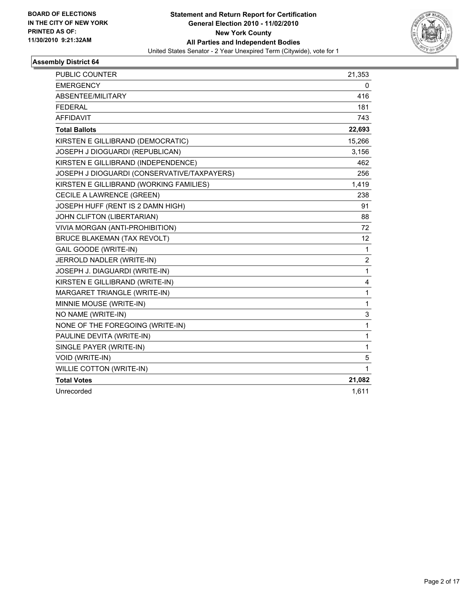

| <b>PUBLIC COUNTER</b>                       | 21,353 |
|---------------------------------------------|--------|
| <b>EMERGENCY</b>                            | 0      |
| ABSENTEE/MILITARY                           | 416    |
| <b>FEDERAL</b>                              | 181    |
| <b>AFFIDAVIT</b>                            | 743    |
| <b>Total Ballots</b>                        | 22,693 |
| KIRSTEN E GILLIBRAND (DEMOCRATIC)           | 15,266 |
| JOSEPH J DIOGUARDI (REPUBLICAN)             | 3,156  |
| KIRSTEN E GILLIBRAND (INDEPENDENCE)         | 462    |
| JOSEPH J DIOGUARDI (CONSERVATIVE/TAXPAYERS) | 256    |
| KIRSTEN E GILLIBRAND (WORKING FAMILIES)     | 1,419  |
| CECILE A LAWRENCE (GREEN)                   | 238    |
| JOSEPH HUFF (RENT IS 2 DAMN HIGH)           | 91     |
| JOHN CLIFTON (LIBERTARIAN)                  | 88     |
| VIVIA MORGAN (ANTI-PROHIBITION)             | 72     |
| <b>BRUCE BLAKEMAN (TAX REVOLT)</b>          | 12     |
| <b>GAIL GOODE (WRITE-IN)</b>                | 1      |
| JERROLD NADLER (WRITE-IN)                   | 2      |
| JOSEPH J. DIAGUARDI (WRITE-IN)              | 1      |
| KIRSTEN E GILLIBRAND (WRITE-IN)             | 4      |
| MARGARET TRIANGLE (WRITE-IN)                | 1      |
| MINNIE MOUSE (WRITE-IN)                     | 1      |
| NO NAME (WRITE-IN)                          | 3      |
| NONE OF THE FOREGOING (WRITE-IN)            | 1      |
| PAULINE DEVITA (WRITE-IN)                   | 1      |
| SINGLE PAYER (WRITE-IN)                     | 1      |
| <b>VOID (WRITE-IN)</b>                      | 5      |
| <b>WILLIE COTTON (WRITE-IN)</b>             | 1      |
| <b>Total Votes</b>                          | 21,082 |
| Unrecorded                                  | 1,611  |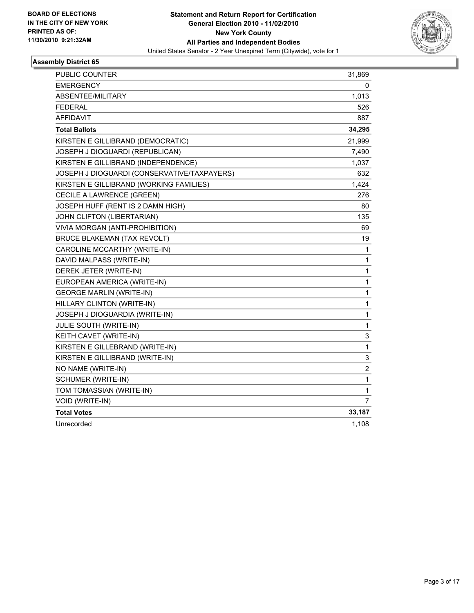

| PUBLIC COUNTER                              | 31,869       |
|---------------------------------------------|--------------|
| <b>EMERGENCY</b>                            | 0            |
| ABSENTEE/MILITARY                           | 1,013        |
| <b>FEDERAL</b>                              | 526          |
| <b>AFFIDAVIT</b>                            | 887          |
| <b>Total Ballots</b>                        | 34,295       |
| KIRSTEN E GILLIBRAND (DEMOCRATIC)           | 21,999       |
| JOSEPH J DIOGUARDI (REPUBLICAN)             | 7,490        |
| KIRSTEN E GILLIBRAND (INDEPENDENCE)         | 1,037        |
| JOSEPH J DIOGUARDI (CONSERVATIVE/TAXPAYERS) | 632          |
| KIRSTEN E GILLIBRAND (WORKING FAMILIES)     | 1,424        |
| CECILE A LAWRENCE (GREEN)                   | 276          |
| JOSEPH HUFF (RENT IS 2 DAMN HIGH)           | 80           |
| JOHN CLIFTON (LIBERTARIAN)                  | 135          |
| VIVIA MORGAN (ANTI-PROHIBITION)             | 69           |
| <b>BRUCE BLAKEMAN (TAX REVOLT)</b>          | 19           |
| CAROLINE MCCARTHY (WRITE-IN)                | 1            |
| DAVID MALPASS (WRITE-IN)                    | 1            |
| DEREK JETER (WRITE-IN)                      | $\mathbf{1}$ |
| EUROPEAN AMERICA (WRITE-IN)                 | 1            |
| <b>GEORGE MARLIN (WRITE-IN)</b>             | 1            |
| HILLARY CLINTON (WRITE-IN)                  | 1            |
| JOSEPH J DIOGUARDIA (WRITE-IN)              | 1            |
| JULIE SOUTH (WRITE-IN)                      | 1            |
| KEITH CAVET (WRITE-IN)                      | 3            |
| KIRSTEN E GILLEBRAND (WRITE-IN)             | $\mathbf{1}$ |
| KIRSTEN E GILLIBRAND (WRITE-IN)             | 3            |
| NO NAME (WRITE-IN)                          | 2            |
| SCHUMER (WRITE-IN)                          | 1            |
| TOM TOMASSIAN (WRITE-IN)                    | 1            |
| VOID (WRITE-IN)                             | 7            |
| <b>Total Votes</b>                          | 33,187       |
| Unrecorded                                  | 1,108        |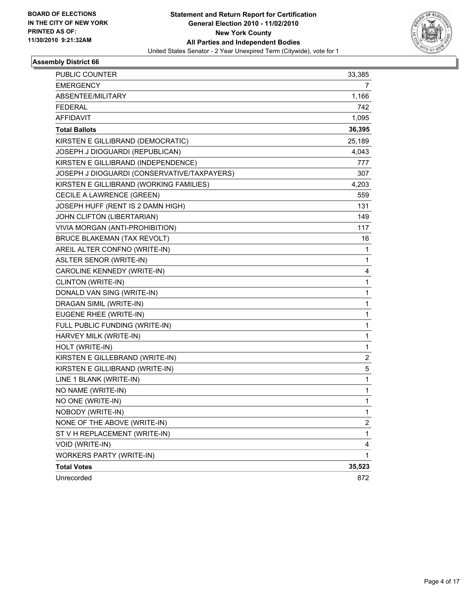

| <b>PUBLIC COUNTER</b>                       | 33,385 |
|---------------------------------------------|--------|
| <b>EMERGENCY</b>                            | 7      |
| ABSENTEE/MILITARY                           | 1,166  |
| <b>FEDERAL</b>                              | 742    |
| AFFIDAVIT                                   | 1,095  |
| <b>Total Ballots</b>                        | 36,395 |
| KIRSTEN E GILLIBRAND (DEMOCRATIC)           | 25,189 |
| JOSEPH J DIOGUARDI (REPUBLICAN)             | 4,043  |
| KIRSTEN E GILLIBRAND (INDEPENDENCE)         | 777    |
| JOSEPH J DIOGUARDI (CONSERVATIVE/TAXPAYERS) | 307    |
| KIRSTEN E GILLIBRAND (WORKING FAMILIES)     | 4,203  |
| CECILE A LAWRENCE (GREEN)                   | 559    |
| JOSEPH HUFF (RENT IS 2 DAMN HIGH)           | 131    |
| JOHN CLIFTON (LIBERTARIAN)                  | 149    |
| VIVIA MORGAN (ANTI-PROHIBITION)             | 117    |
| <b>BRUCE BLAKEMAN (TAX REVOLT)</b>          | 16     |
| AREIL ALTER CONFNO (WRITE-IN)               | 1      |
| <b>ASLTER SENOR (WRITE-IN)</b>              | 1      |
| CAROLINE KENNEDY (WRITE-IN)                 | 4      |
| CLINTON (WRITE-IN)                          | 1      |
| DONALD VAN SING (WRITE-IN)                  | 1      |
| DRAGAN SIMIL (WRITE-IN)                     | 1      |
| EUGENE RHEE (WRITE-IN)                      | 1      |
| FULL PUBLIC FUNDING (WRITE-IN)              | 1      |
| HARVEY MILK (WRITE-IN)                      | 1      |
| HOLT (WRITE-IN)                             | 1      |
| KIRSTEN E GILLEBRAND (WRITE-IN)             | 2      |
| KIRSTEN E GILLIBRAND (WRITE-IN)             | 5      |
| LINE 1 BLANK (WRITE-IN)                     | 1      |
| NO NAME (WRITE-IN)                          | 1      |
| NO ONE (WRITE-IN)                           | 1      |
| NOBODY (WRITE-IN)                           | 1      |
| NONE OF THE ABOVE (WRITE-IN)                | 2      |
| ST V H REPLACEMENT (WRITE-IN)               | 1      |
| VOID (WRITE-IN)                             | 4      |
| <b>WORKERS PARTY (WRITE-IN)</b>             | 1      |
| <b>Total Votes</b>                          | 35,523 |
| Unrecorded                                  | 872    |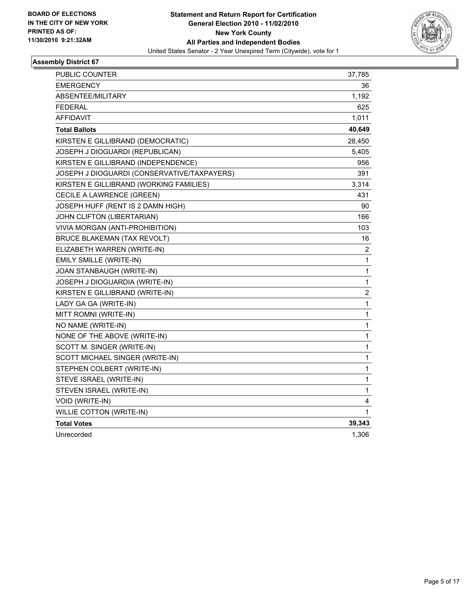

| PUBLIC COUNTER                              | 37,785                  |
|---------------------------------------------|-------------------------|
| <b>EMERGENCY</b>                            | 36                      |
| <b>ABSENTEE/MILITARY</b>                    | 1,192                   |
| <b>FEDERAL</b>                              | 625                     |
| <b>AFFIDAVIT</b>                            | 1,011                   |
| <b>Total Ballots</b>                        | 40,649                  |
| KIRSTEN E GILLIBRAND (DEMOCRATIC)           | 28,450                  |
| JOSEPH J DIOGUARDI (REPUBLICAN)             | 5,405                   |
| KIRSTEN E GILLIBRAND (INDEPENDENCE)         | 956                     |
| JOSEPH J DIOGUARDI (CONSERVATIVE/TAXPAYERS) | 391                     |
| KIRSTEN E GILLIBRAND (WORKING FAMILIES)     | 3,314                   |
| CECILE A LAWRENCE (GREEN)                   | 431                     |
| JOSEPH HUFF (RENT IS 2 DAMN HIGH)           | 90                      |
| JOHN CLIFTON (LIBERTARIAN)                  | 166                     |
| VIVIA MORGAN (ANTI-PROHIBITION)             | 103                     |
| <b>BRUCE BLAKEMAN (TAX REVOLT)</b>          | 16                      |
| ELIZABETH WARREN (WRITE-IN)                 | 2                       |
| EMILY SMILLE (WRITE-IN)                     | 1                       |
| JOAN STANBAUGH (WRITE-IN)                   | $\mathbf{1}$            |
| JOSEPH J DIOGUARDIA (WRITE-IN)              | $\mathbf{1}$            |
| KIRSTEN E GILLIBRAND (WRITE-IN)             | $\overline{\mathbf{c}}$ |
| LADY GA GA (WRITE-IN)                       | $\mathbf 1$             |
| MITT ROMNI (WRITE-IN)                       | $\mathbf 1$             |
| NO NAME (WRITE-IN)                          | 1                       |
| NONE OF THE ABOVE (WRITE-IN)                | 1                       |
| SCOTT M. SINGER (WRITE-IN)                  | $\mathbf{1}$            |
| SCOTT MICHAEL SINGER (WRITE-IN)             | 1                       |
| STEPHEN COLBERT (WRITE-IN)                  | 1                       |
| STEVE ISRAEL (WRITE-IN)                     | 1                       |
| STEVEN ISRAEL (WRITE-IN)                    | 1                       |
| VOID (WRITE-IN)                             | 4                       |
| <b>WILLIE COTTON (WRITE-IN)</b>             | 1                       |
| <b>Total Votes</b>                          | 39,343                  |
| Unrecorded                                  | 1,306                   |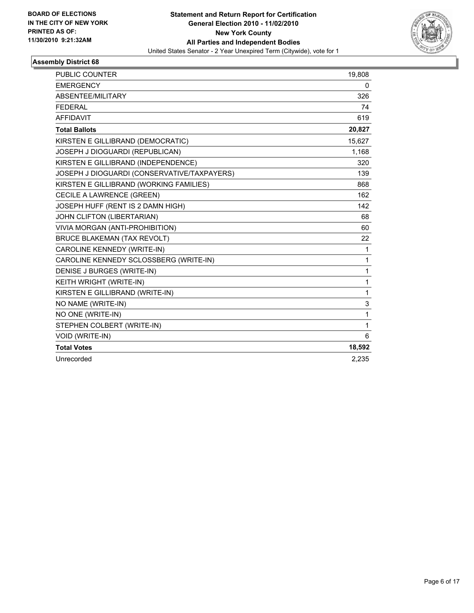

| <b>PUBLIC COUNTER</b>                       | 19,808 |
|---------------------------------------------|--------|
| <b>EMERGENCY</b>                            | 0      |
| ABSENTEE/MILITARY                           | 326    |
| <b>FEDERAL</b>                              | 74     |
| <b>AFFIDAVIT</b>                            | 619    |
| <b>Total Ballots</b>                        | 20,827 |
| KIRSTEN E GILLIBRAND (DEMOCRATIC)           | 15,627 |
| JOSEPH J DIOGUARDI (REPUBLICAN)             | 1,168  |
| KIRSTEN E GILLIBRAND (INDEPENDENCE)         | 320    |
| JOSEPH J DIOGUARDI (CONSERVATIVE/TAXPAYERS) | 139    |
| KIRSTEN E GILLIBRAND (WORKING FAMILIES)     | 868    |
| CECILE A LAWRENCE (GREEN)                   | 162    |
| JOSEPH HUFF (RENT IS 2 DAMN HIGH)           | 142    |
| JOHN CLIFTON (LIBERTARIAN)                  | 68     |
| VIVIA MORGAN (ANTI-PROHIBITION)             | 60     |
| <b>BRUCE BLAKEMAN (TAX REVOLT)</b>          | 22     |
| CAROLINE KENNEDY (WRITE-IN)                 | 1      |
| CAROLINE KENNEDY SCLOSSBERG (WRITE-IN)      | 1      |
| DENISE J BURGES (WRITE-IN)                  | 1      |
| KEITH WRIGHT (WRITE-IN)                     | 1      |
| KIRSTEN E GILLIBRAND (WRITE-IN)             | 1      |
| NO NAME (WRITE-IN)                          | 3      |
| NO ONE (WRITE-IN)                           | 1      |
| STEPHEN COLBERT (WRITE-IN)                  | 1      |
| VOID (WRITE-IN)                             | 6      |
| <b>Total Votes</b>                          | 18,592 |
| Unrecorded                                  | 2.235  |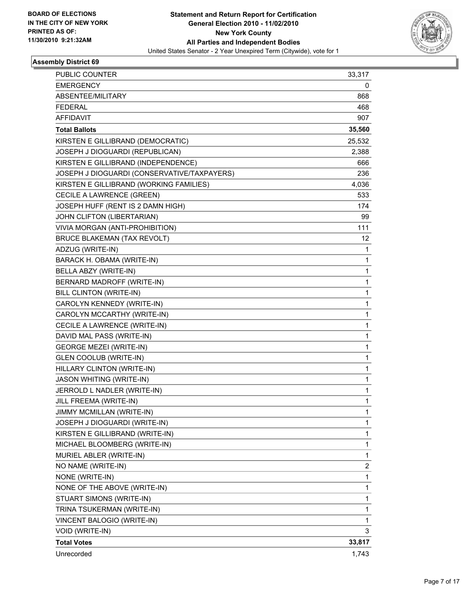

| <b>PUBLIC COUNTER</b>                       | 33,317 |
|---------------------------------------------|--------|
| <b>EMERGENCY</b>                            | 0      |
| ABSENTEE/MILITARY                           | 868    |
| <b>FEDERAL</b>                              | 468    |
| AFFIDAVIT                                   | 907    |
| <b>Total Ballots</b>                        | 35,560 |
| KIRSTEN E GILLIBRAND (DEMOCRATIC)           | 25,532 |
| JOSEPH J DIOGUARDI (REPUBLICAN)             | 2,388  |
| KIRSTEN E GILLIBRAND (INDEPENDENCE)         | 666    |
| JOSEPH J DIOGUARDI (CONSERVATIVE/TAXPAYERS) | 236    |
| KIRSTEN E GILLIBRAND (WORKING FAMILIES)     | 4,036  |
| CECILE A LAWRENCE (GREEN)                   | 533    |
| JOSEPH HUFF (RENT IS 2 DAMN HIGH)           | 174    |
| JOHN CLIFTON (LIBERTARIAN)                  | 99     |
| VIVIA MORGAN (ANTI-PROHIBITION)             | 111    |
| <b>BRUCE BLAKEMAN (TAX REVOLT)</b>          | 12     |
| ADZUG (WRITE-IN)                            | 1      |
| BARACK H. OBAMA (WRITE-IN)                  | 1      |
| BELLA ABZY (WRITE-IN)                       | 1      |
| BERNARD MADROFF (WRITE-IN)                  | 1      |
| BILL CLINTON (WRITE-IN)                     | 1      |
| CAROLYN KENNEDY (WRITE-IN)                  | 1      |
| CAROLYN MCCARTHY (WRITE-IN)                 | 1      |
| CECILE A LAWRENCE (WRITE-IN)                | 1      |
| DAVID MAL PASS (WRITE-IN)                   | 1      |
| <b>GEORGE MEZEI (WRITE-IN)</b>              | 1      |
| <b>GLEN COOLUB (WRITE-IN)</b>               | 1      |
| HILLARY CLINTON (WRITE-IN)                  | 1      |
| <b>JASON WHITING (WRITE-IN)</b>             | 1      |
| JERROLD L NADLER (WRITE-IN)                 | 1      |
| JILL FREEMA (WRITE-IN)                      | 1      |
| JIMMY MCMILLAN (WRITE-IN)                   | 1      |
| JOSEPH J DIOGUARDI (WRITE-IN)               | 1      |
| KIRSTEN E GILLIBRAND (WRITE-IN)             | 1      |
| MICHAEL BLOOMBERG (WRITE-IN)                | 1      |
| MURIEL ABLER (WRITE-IN)                     | 1      |
| NO NAME (WRITE-IN)                          | 2      |
| NONE (WRITE-IN)                             | 1      |
| NONE OF THE ABOVE (WRITE-IN)                | 1      |
| STUART SIMONS (WRITE-IN)                    | 1      |
| TRINA TSUKERMAN (WRITE-IN)                  | 1      |
| VINCENT BALOGIO (WRITE-IN)                  | 1      |
| VOID (WRITE-IN)                             | 3      |
| <b>Total Votes</b>                          | 33,817 |
| Unrecorded                                  | 1,743  |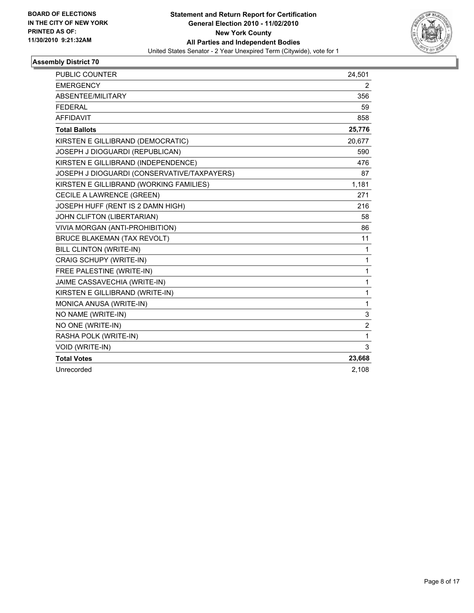

| <b>PUBLIC COUNTER</b>                       | 24,501         |
|---------------------------------------------|----------------|
| <b>EMERGENCY</b>                            | 2              |
| ABSENTEE/MILITARY                           | 356            |
| <b>FEDERAL</b>                              | 59             |
| <b>AFFIDAVIT</b>                            | 858            |
| <b>Total Ballots</b>                        | 25,776         |
| KIRSTEN E GILLIBRAND (DEMOCRATIC)           | 20,677         |
| JOSEPH J DIOGUARDI (REPUBLICAN)             | 590            |
| KIRSTEN E GILLIBRAND (INDEPENDENCE)         | 476            |
| JOSEPH J DIOGUARDI (CONSERVATIVE/TAXPAYERS) | 87             |
| KIRSTEN E GILLIBRAND (WORKING FAMILIES)     | 1,181          |
| CECILE A LAWRENCE (GREEN)                   | 271            |
| JOSEPH HUFF (RENT IS 2 DAMN HIGH)           | 216            |
| JOHN CLIFTON (LIBERTARIAN)                  | 58             |
| VIVIA MORGAN (ANTI-PROHIBITION)             | 86             |
| <b>BRUCE BLAKEMAN (TAX REVOLT)</b>          | 11             |
| BILL CLINTON (WRITE-IN)                     | 1              |
| CRAIG SCHUPY (WRITE-IN)                     | 1              |
| FREE PALESTINE (WRITE-IN)                   | 1              |
| JAIME CASSAVECHIA (WRITE-IN)                | $\mathbf{1}$   |
| KIRSTEN E GILLIBRAND (WRITE-IN)             | $\mathbf{1}$   |
| MONICA ANUSA (WRITE-IN)                     | 1              |
| NO NAME (WRITE-IN)                          | 3              |
| NO ONE (WRITE-IN)                           | $\overline{2}$ |
| RASHA POLK (WRITE-IN)                       | $\mathbf{1}$   |
| VOID (WRITE-IN)                             | 3              |
| <b>Total Votes</b>                          | 23,668         |
| Unrecorded                                  | 2,108          |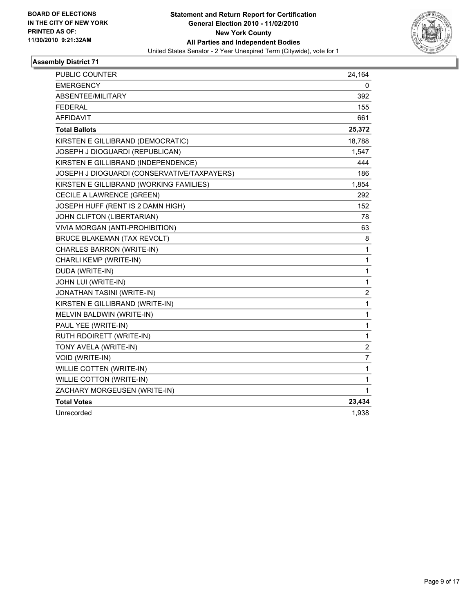

| PUBLIC COUNTER                              | 24,164                  |
|---------------------------------------------|-------------------------|
| <b>EMERGENCY</b>                            | 0                       |
| ABSENTEE/MILITARY                           | 392                     |
| <b>FEDERAL</b>                              | 155                     |
| <b>AFFIDAVIT</b>                            | 661                     |
| <b>Total Ballots</b>                        | 25,372                  |
| KIRSTEN E GILLIBRAND (DEMOCRATIC)           | 18,788                  |
| JOSEPH J DIOGUARDI (REPUBLICAN)             | 1,547                   |
| KIRSTEN E GILLIBRAND (INDEPENDENCE)         | 444                     |
| JOSEPH J DIOGUARDI (CONSERVATIVE/TAXPAYERS) | 186                     |
| KIRSTEN E GILLIBRAND (WORKING FAMILIES)     | 1,854                   |
| CECILE A LAWRENCE (GREEN)                   | 292                     |
| JOSEPH HUFF (RENT IS 2 DAMN HIGH)           | 152                     |
| JOHN CLIFTON (LIBERTARIAN)                  | 78                      |
| VIVIA MORGAN (ANTI-PROHIBITION)             | 63                      |
| <b>BRUCE BLAKEMAN (TAX REVOLT)</b>          | 8                       |
| CHARLES BARRON (WRITE-IN)                   | $\mathbf{1}$            |
| CHARLI KEMP (WRITE-IN)                      | 1                       |
| DUDA (WRITE-IN)                             | 1                       |
| JOHN LUI (WRITE-IN)                         | 1                       |
| JONATHAN TASINI (WRITE-IN)                  | $\overline{\mathbf{c}}$ |
| KIRSTEN E GILLIBRAND (WRITE-IN)             | 1                       |
| MELVIN BALDWIN (WRITE-IN)                   | 1                       |
| PAUL YEE (WRITE-IN)                         | 1                       |
| RUTH RDOIRETT (WRITE-IN)                    | 1                       |
| TONY AVELA (WRITE-IN)                       | $\overline{2}$          |
| VOID (WRITE-IN)                             | 7                       |
| WILLIE COTTEN (WRITE-IN)                    | 1                       |
| <b>WILLIE COTTON (WRITE-IN)</b>             | 1                       |
| ZACHARY MORGEUSEN (WRITE-IN)                | 1                       |
| <b>Total Votes</b>                          | 23,434                  |
| Unrecorded                                  | 1,938                   |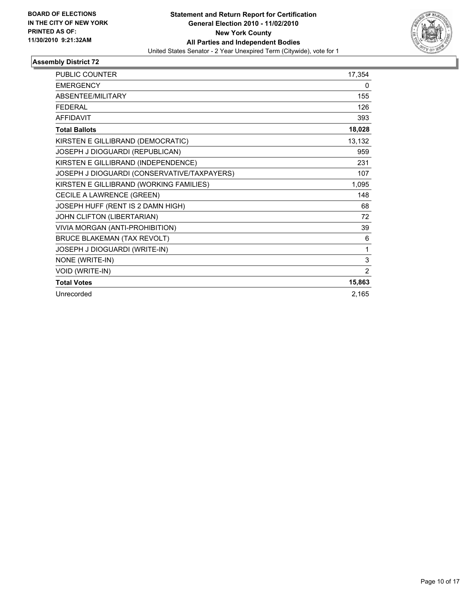

| <b>PUBLIC COUNTER</b>                       | 17,354 |
|---------------------------------------------|--------|
| <b>EMERGENCY</b>                            | 0      |
| <b>ABSENTEE/MILITARY</b>                    | 155    |
| <b>FEDERAL</b>                              | 126    |
| <b>AFFIDAVIT</b>                            | 393    |
| <b>Total Ballots</b>                        | 18,028 |
| KIRSTEN E GILLIBRAND (DEMOCRATIC)           | 13,132 |
| JOSEPH J DIOGUARDI (REPUBLICAN)             | 959    |
| KIRSTEN E GILLIBRAND (INDEPENDENCE)         | 231    |
| JOSEPH J DIOGUARDI (CONSERVATIVE/TAXPAYERS) | 107    |
| KIRSTEN E GILLIBRAND (WORKING FAMILIES)     | 1,095  |
| CECILE A LAWRENCE (GREEN)                   | 148    |
| JOSEPH HUFF (RENT IS 2 DAMN HIGH)           | 68     |
| JOHN CLIFTON (LIBERTARIAN)                  | 72     |
| VIVIA MORGAN (ANTI-PROHIBITION)             | 39     |
| <b>BRUCE BLAKEMAN (TAX REVOLT)</b>          | 6      |
| JOSEPH J DIOGUARDI (WRITE-IN)               | 1      |
| NONE (WRITE-IN)                             | 3      |
| VOID (WRITE-IN)                             | 2      |
| <b>Total Votes</b>                          | 15,863 |
| Unrecorded                                  | 2,165  |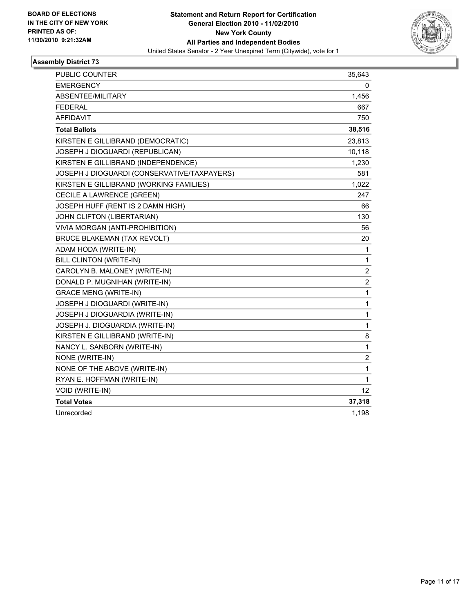

| PUBLIC COUNTER                              | 35,643           |
|---------------------------------------------|------------------|
| <b>EMERGENCY</b>                            | 0                |
| ABSENTEE/MILITARY                           | 1,456            |
| <b>FEDERAL</b>                              | 667              |
| <b>AFFIDAVIT</b>                            | 750              |
| <b>Total Ballots</b>                        | 38,516           |
| KIRSTEN E GILLIBRAND (DEMOCRATIC)           | 23,813           |
| JOSEPH J DIOGUARDI (REPUBLICAN)             | 10,118           |
| KIRSTEN E GILLIBRAND (INDEPENDENCE)         | 1,230            |
| JOSEPH J DIOGUARDI (CONSERVATIVE/TAXPAYERS) | 581              |
| KIRSTEN E GILLIBRAND (WORKING FAMILIES)     | 1,022            |
| CECILE A LAWRENCE (GREEN)                   | 247              |
| JOSEPH HUFF (RENT IS 2 DAMN HIGH)           | 66               |
| JOHN CLIFTON (LIBERTARIAN)                  | 130              |
| VIVIA MORGAN (ANTI-PROHIBITION)             | 56               |
| <b>BRUCE BLAKEMAN (TAX REVOLT)</b>          | 20               |
| ADAM HODA (WRITE-IN)                        | 1                |
| BILL CLINTON (WRITE-IN)                     | $\mathbf{1}$     |
| CAROLYN B. MALONEY (WRITE-IN)               | $\boldsymbol{2}$ |
| DONALD P. MUGNIHAN (WRITE-IN)               | $\overline{2}$   |
| <b>GRACE MENG (WRITE-IN)</b>                | 1                |
| JOSEPH J DIOGUARDI (WRITE-IN)               | $\mathbf{1}$     |
| JOSEPH J DIOGUARDIA (WRITE-IN)              | 1                |
| JOSEPH J. DIOGUARDIA (WRITE-IN)             | 1                |
| KIRSTEN E GILLIBRAND (WRITE-IN)             | 8                |
| NANCY L. SANBORN (WRITE-IN)                 | 1                |
| NONE (WRITE-IN)                             | 2                |
| NONE OF THE ABOVE (WRITE-IN)                | 1                |
| RYAN E. HOFFMAN (WRITE-IN)                  | 1                |
| VOID (WRITE-IN)                             | 12               |
| <b>Total Votes</b>                          | 37,318           |
| Unrecorded                                  | 1,198            |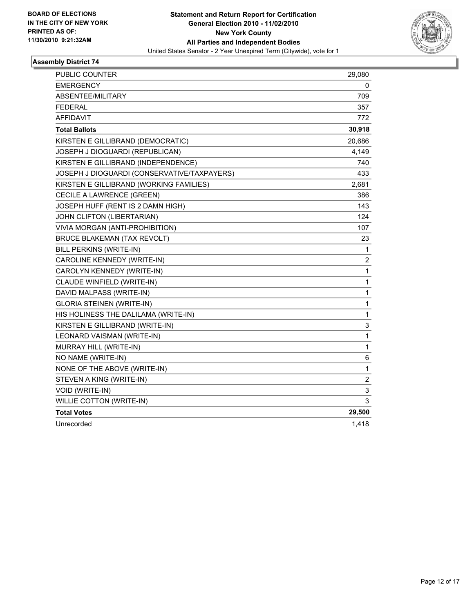

| PUBLIC COUNTER                              | 29,080         |
|---------------------------------------------|----------------|
| <b>EMERGENCY</b>                            | 0              |
| ABSENTEE/MILITARY                           | 709            |
| FEDERAL                                     | 357            |
| <b>AFFIDAVIT</b>                            | 772            |
| <b>Total Ballots</b>                        | 30,918         |
| KIRSTEN E GILLIBRAND (DEMOCRATIC)           | 20,686         |
| JOSEPH J DIOGUARDI (REPUBLICAN)             | 4,149          |
| KIRSTEN E GILLIBRAND (INDEPENDENCE)         | 740            |
| JOSEPH J DIOGUARDI (CONSERVATIVE/TAXPAYERS) | 433            |
| KIRSTEN E GILLIBRAND (WORKING FAMILIES)     | 2,681          |
| CECILE A LAWRENCE (GREEN)                   | 386            |
| JOSEPH HUFF (RENT IS 2 DAMN HIGH)           | 143            |
| JOHN CLIFTON (LIBERTARIAN)                  | 124            |
| VIVIA MORGAN (ANTI-PROHIBITION)             | 107            |
| <b>BRUCE BLAKEMAN (TAX REVOLT)</b>          | 23             |
| <b>BILL PERKINS (WRITE-IN)</b>              | 1              |
| CAROLINE KENNEDY (WRITE-IN)                 | 2              |
| CAROLYN KENNEDY (WRITE-IN)                  | 1              |
| CLAUDE WINFIELD (WRITE-IN)                  | 1              |
| DAVID MALPASS (WRITE-IN)                    | 1              |
| <b>GLORIA STEINEN (WRITE-IN)</b>            | 1              |
| HIS HOLINESS THE DALILAMA (WRITE-IN)        | 1              |
| KIRSTEN E GILLIBRAND (WRITE-IN)             | 3              |
| LEONARD VAISMAN (WRITE-IN)                  | $\mathbf{1}$   |
| MURRAY HILL (WRITE-IN)                      | 1              |
| NO NAME (WRITE-IN)                          | 6              |
| NONE OF THE ABOVE (WRITE-IN)                | $\mathbf 1$    |
| STEVEN A KING (WRITE-IN)                    | $\overline{2}$ |
| VOID (WRITE-IN)                             | 3              |
| <b>WILLIE COTTON (WRITE-IN)</b>             | 3              |
| <b>Total Votes</b>                          | 29,500         |
| Unrecorded                                  | 1,418          |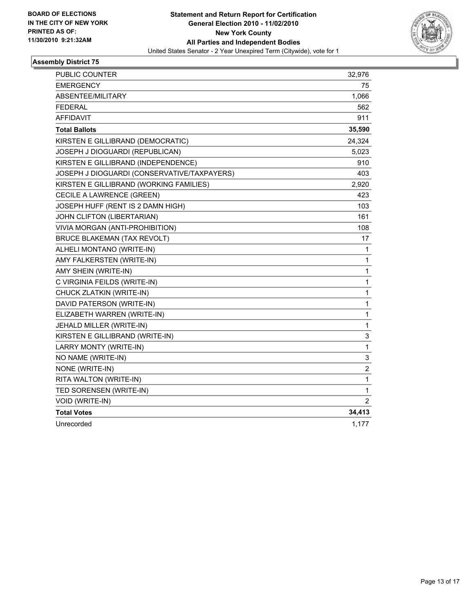

| <b>PUBLIC COUNTER</b>                       | 32,976         |
|---------------------------------------------|----------------|
| <b>EMERGENCY</b>                            | 75             |
| ABSENTEE/MILITARY                           | 1,066          |
| <b>FEDERAL</b>                              | 562            |
| <b>AFFIDAVIT</b>                            | 911            |
| <b>Total Ballots</b>                        | 35,590         |
| KIRSTEN E GILLIBRAND (DEMOCRATIC)           | 24,324         |
| JOSEPH J DIOGUARDI (REPUBLICAN)             | 5,023          |
| KIRSTEN E GILLIBRAND (INDEPENDENCE)         | 910            |
| JOSEPH J DIOGUARDI (CONSERVATIVE/TAXPAYERS) | 403            |
| KIRSTEN E GILLIBRAND (WORKING FAMILIES)     | 2,920          |
| CECILE A LAWRENCE (GREEN)                   | 423            |
| JOSEPH HUFF (RENT IS 2 DAMN HIGH)           | 103            |
| JOHN CLIFTON (LIBERTARIAN)                  | 161            |
| VIVIA MORGAN (ANTI-PROHIBITION)             | 108            |
| <b>BRUCE BLAKEMAN (TAX REVOLT)</b>          | 17             |
| ALHELI MONTANO (WRITE-IN)                   | 1              |
| AMY FALKERSTEN (WRITE-IN)                   | 1              |
| AMY SHEIN (WRITE-IN)                        | 1              |
| C VIRGINIA FEILDS (WRITE-IN)                | 1              |
| CHUCK ZLATKIN (WRITE-IN)                    | 1              |
| DAVID PATERSON (WRITE-IN)                   | 1              |
| ELIZABETH WARREN (WRITE-IN)                 | 1              |
| JEHALD MILLER (WRITE-IN)                    | 1              |
| KIRSTEN E GILLIBRAND (WRITE-IN)             | 3              |
| LARRY MONTY (WRITE-IN)                      | 1              |
| NO NAME (WRITE-IN)                          | 3              |
| NONE (WRITE-IN)                             | 2              |
| RITA WALTON (WRITE-IN)                      | 1              |
| TED SORENSEN (WRITE-IN)                     | 1              |
| VOID (WRITE-IN)                             | $\overline{2}$ |
| <b>Total Votes</b>                          | 34,413         |
| Unrecorded                                  | 1,177          |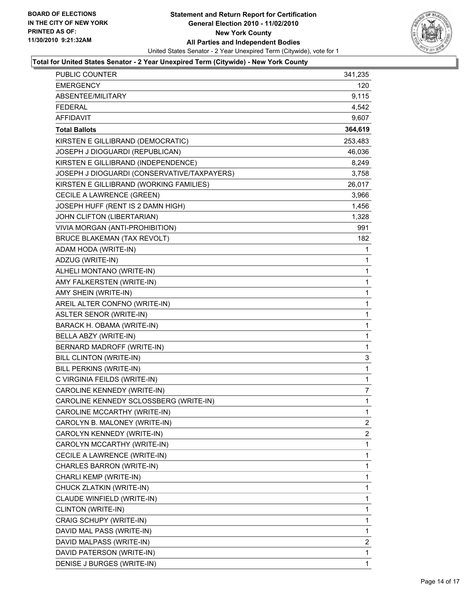

#### **Total for United States Senator - 2 Year Unexpired Term (Citywide) - New York County**

| PUBLIC COUNTER                              | 341,235               |
|---------------------------------------------|-----------------------|
| <b>EMERGENCY</b>                            | 120                   |
| ABSENTEE/MILITARY                           | 9,115                 |
| <b>FEDERAL</b>                              | 4,542                 |
| <b>AFFIDAVIT</b>                            | 9,607                 |
| <b>Total Ballots</b>                        | 364,619               |
| KIRSTEN E GILLIBRAND (DEMOCRATIC)           | 253,483               |
| JOSEPH J DIOGUARDI (REPUBLICAN)             | 46,036                |
| KIRSTEN E GILLIBRAND (INDEPENDENCE)         | 8,249                 |
| JOSEPH J DIOGUARDI (CONSERVATIVE/TAXPAYERS) | 3,758                 |
| KIRSTEN E GILLIBRAND (WORKING FAMILIES)     | 26,017                |
| CECILE A LAWRENCE (GREEN)                   | 3,966                 |
| JOSEPH HUFF (RENT IS 2 DAMN HIGH)           | 1,456                 |
| JOHN CLIFTON (LIBERTARIAN)                  | 1,328                 |
| VIVIA MORGAN (ANTI-PROHIBITION)             | 991                   |
| BRUCE BLAKEMAN (TAX REVOLT)                 | 182                   |
| ADAM HODA (WRITE-IN)                        | 1                     |
| ADZUG (WRITE-IN)                            | 1                     |
| ALHELI MONTANO (WRITE-IN)                   | 1                     |
| AMY FALKERSTEN (WRITE-IN)                   | 1                     |
| AMY SHEIN (WRITE-IN)                        | 1                     |
| AREIL ALTER CONFNO (WRITE-IN)               | 1                     |
| ASLTER SENOR (WRITE-IN)                     | 1                     |
| BARACK H. OBAMA (WRITE-IN)                  | 1                     |
| BELLA ABZY (WRITE-IN)                       | 1                     |
| BERNARD MADROFF (WRITE-IN)                  | 1                     |
| BILL CLINTON (WRITE-IN)                     | 3                     |
| BILL PERKINS (WRITE-IN)                     | 1                     |
| C VIRGINIA FEILDS (WRITE-IN)                | 1                     |
| CAROLINE KENNEDY (WRITE-IN)                 | 7                     |
| CAROLINE KENNEDY SCLOSSBERG (WRITE-IN)      | 1                     |
| CAROLINE MCCARTHY (WRITE-IN)                | $\mathbf{1}$          |
| CAROLYN B. MALONEY (WRITE-IN)               | 2                     |
| CAROLYN KENNEDY (WRITE-IN)                  | $\mathbf{2}^{\prime}$ |
| CAROLYN MCCARTHY (WRITE-IN)                 | 1                     |
| CECILE A LAWRENCE (WRITE-IN)                | 1                     |
| CHARLES BARRON (WRITE-IN)                   | 1                     |
| CHARLI KEMP (WRITE-IN)                      | 1                     |
| CHUCK ZLATKIN (WRITE-IN)                    | 1                     |
| CLAUDE WINFIELD (WRITE-IN)                  | 1                     |
| CLINTON (WRITE-IN)                          | 1                     |
| CRAIG SCHUPY (WRITE-IN)                     | 1                     |
| DAVID MAL PASS (WRITE-IN)                   | 1                     |
| DAVID MALPASS (WRITE-IN)                    | 2                     |
| DAVID PATERSON (WRITE-IN)                   | 1                     |
| DENISE J BURGES (WRITE-IN)                  | 1                     |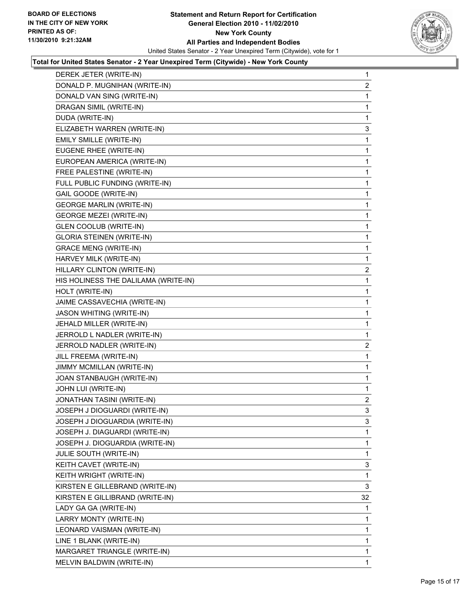

#### **Total for United States Senator - 2 Year Unexpired Term (Citywide) - New York County**

| DEREK JETER (WRITE-IN) | 1                                                                                                                                                                                                                                                                                                                                                                                                                                                                                                                                                                                                                                                                                                                                                                                                                                                                                                                                                                                                                                                                                                                                                                                                                                                                                                                                                                                                  |
|------------------------|----------------------------------------------------------------------------------------------------------------------------------------------------------------------------------------------------------------------------------------------------------------------------------------------------------------------------------------------------------------------------------------------------------------------------------------------------------------------------------------------------------------------------------------------------------------------------------------------------------------------------------------------------------------------------------------------------------------------------------------------------------------------------------------------------------------------------------------------------------------------------------------------------------------------------------------------------------------------------------------------------------------------------------------------------------------------------------------------------------------------------------------------------------------------------------------------------------------------------------------------------------------------------------------------------------------------------------------------------------------------------------------------------|
|                        | 2                                                                                                                                                                                                                                                                                                                                                                                                                                                                                                                                                                                                                                                                                                                                                                                                                                                                                                                                                                                                                                                                                                                                                                                                                                                                                                                                                                                                  |
|                        | 1                                                                                                                                                                                                                                                                                                                                                                                                                                                                                                                                                                                                                                                                                                                                                                                                                                                                                                                                                                                                                                                                                                                                                                                                                                                                                                                                                                                                  |
|                        | 1                                                                                                                                                                                                                                                                                                                                                                                                                                                                                                                                                                                                                                                                                                                                                                                                                                                                                                                                                                                                                                                                                                                                                                                                                                                                                                                                                                                                  |
|                        | 1                                                                                                                                                                                                                                                                                                                                                                                                                                                                                                                                                                                                                                                                                                                                                                                                                                                                                                                                                                                                                                                                                                                                                                                                                                                                                                                                                                                                  |
|                        | 3                                                                                                                                                                                                                                                                                                                                                                                                                                                                                                                                                                                                                                                                                                                                                                                                                                                                                                                                                                                                                                                                                                                                                                                                                                                                                                                                                                                                  |
|                        | 1                                                                                                                                                                                                                                                                                                                                                                                                                                                                                                                                                                                                                                                                                                                                                                                                                                                                                                                                                                                                                                                                                                                                                                                                                                                                                                                                                                                                  |
|                        | 1                                                                                                                                                                                                                                                                                                                                                                                                                                                                                                                                                                                                                                                                                                                                                                                                                                                                                                                                                                                                                                                                                                                                                                                                                                                                                                                                                                                                  |
|                        | 1                                                                                                                                                                                                                                                                                                                                                                                                                                                                                                                                                                                                                                                                                                                                                                                                                                                                                                                                                                                                                                                                                                                                                                                                                                                                                                                                                                                                  |
|                        | 1                                                                                                                                                                                                                                                                                                                                                                                                                                                                                                                                                                                                                                                                                                                                                                                                                                                                                                                                                                                                                                                                                                                                                                                                                                                                                                                                                                                                  |
|                        | 1                                                                                                                                                                                                                                                                                                                                                                                                                                                                                                                                                                                                                                                                                                                                                                                                                                                                                                                                                                                                                                                                                                                                                                                                                                                                                                                                                                                                  |
|                        | 1                                                                                                                                                                                                                                                                                                                                                                                                                                                                                                                                                                                                                                                                                                                                                                                                                                                                                                                                                                                                                                                                                                                                                                                                                                                                                                                                                                                                  |
|                        | 1                                                                                                                                                                                                                                                                                                                                                                                                                                                                                                                                                                                                                                                                                                                                                                                                                                                                                                                                                                                                                                                                                                                                                                                                                                                                                                                                                                                                  |
|                        | 1                                                                                                                                                                                                                                                                                                                                                                                                                                                                                                                                                                                                                                                                                                                                                                                                                                                                                                                                                                                                                                                                                                                                                                                                                                                                                                                                                                                                  |
|                        | 1                                                                                                                                                                                                                                                                                                                                                                                                                                                                                                                                                                                                                                                                                                                                                                                                                                                                                                                                                                                                                                                                                                                                                                                                                                                                                                                                                                                                  |
|                        | 1                                                                                                                                                                                                                                                                                                                                                                                                                                                                                                                                                                                                                                                                                                                                                                                                                                                                                                                                                                                                                                                                                                                                                                                                                                                                                                                                                                                                  |
|                        | 1                                                                                                                                                                                                                                                                                                                                                                                                                                                                                                                                                                                                                                                                                                                                                                                                                                                                                                                                                                                                                                                                                                                                                                                                                                                                                                                                                                                                  |
|                        | 1                                                                                                                                                                                                                                                                                                                                                                                                                                                                                                                                                                                                                                                                                                                                                                                                                                                                                                                                                                                                                                                                                                                                                                                                                                                                                                                                                                                                  |
|                        | 2                                                                                                                                                                                                                                                                                                                                                                                                                                                                                                                                                                                                                                                                                                                                                                                                                                                                                                                                                                                                                                                                                                                                                                                                                                                                                                                                                                                                  |
|                        | 1                                                                                                                                                                                                                                                                                                                                                                                                                                                                                                                                                                                                                                                                                                                                                                                                                                                                                                                                                                                                                                                                                                                                                                                                                                                                                                                                                                                                  |
|                        | 1                                                                                                                                                                                                                                                                                                                                                                                                                                                                                                                                                                                                                                                                                                                                                                                                                                                                                                                                                                                                                                                                                                                                                                                                                                                                                                                                                                                                  |
|                        | 1                                                                                                                                                                                                                                                                                                                                                                                                                                                                                                                                                                                                                                                                                                                                                                                                                                                                                                                                                                                                                                                                                                                                                                                                                                                                                                                                                                                                  |
|                        | 1                                                                                                                                                                                                                                                                                                                                                                                                                                                                                                                                                                                                                                                                                                                                                                                                                                                                                                                                                                                                                                                                                                                                                                                                                                                                                                                                                                                                  |
|                        | 1                                                                                                                                                                                                                                                                                                                                                                                                                                                                                                                                                                                                                                                                                                                                                                                                                                                                                                                                                                                                                                                                                                                                                                                                                                                                                                                                                                                                  |
|                        | 1                                                                                                                                                                                                                                                                                                                                                                                                                                                                                                                                                                                                                                                                                                                                                                                                                                                                                                                                                                                                                                                                                                                                                                                                                                                                                                                                                                                                  |
|                        | $\mathbf{2}$                                                                                                                                                                                                                                                                                                                                                                                                                                                                                                                                                                                                                                                                                                                                                                                                                                                                                                                                                                                                                                                                                                                                                                                                                                                                                                                                                                                       |
|                        | 1                                                                                                                                                                                                                                                                                                                                                                                                                                                                                                                                                                                                                                                                                                                                                                                                                                                                                                                                                                                                                                                                                                                                                                                                                                                                                                                                                                                                  |
|                        | 1                                                                                                                                                                                                                                                                                                                                                                                                                                                                                                                                                                                                                                                                                                                                                                                                                                                                                                                                                                                                                                                                                                                                                                                                                                                                                                                                                                                                  |
|                        | 1                                                                                                                                                                                                                                                                                                                                                                                                                                                                                                                                                                                                                                                                                                                                                                                                                                                                                                                                                                                                                                                                                                                                                                                                                                                                                                                                                                                                  |
|                        | 1                                                                                                                                                                                                                                                                                                                                                                                                                                                                                                                                                                                                                                                                                                                                                                                                                                                                                                                                                                                                                                                                                                                                                                                                                                                                                                                                                                                                  |
|                        | 2                                                                                                                                                                                                                                                                                                                                                                                                                                                                                                                                                                                                                                                                                                                                                                                                                                                                                                                                                                                                                                                                                                                                                                                                                                                                                                                                                                                                  |
|                        | 3                                                                                                                                                                                                                                                                                                                                                                                                                                                                                                                                                                                                                                                                                                                                                                                                                                                                                                                                                                                                                                                                                                                                                                                                                                                                                                                                                                                                  |
|                        | 3                                                                                                                                                                                                                                                                                                                                                                                                                                                                                                                                                                                                                                                                                                                                                                                                                                                                                                                                                                                                                                                                                                                                                                                                                                                                                                                                                                                                  |
|                        | 1                                                                                                                                                                                                                                                                                                                                                                                                                                                                                                                                                                                                                                                                                                                                                                                                                                                                                                                                                                                                                                                                                                                                                                                                                                                                                                                                                                                                  |
|                        | $\mathbf{1}$                                                                                                                                                                                                                                                                                                                                                                                                                                                                                                                                                                                                                                                                                                                                                                                                                                                                                                                                                                                                                                                                                                                                                                                                                                                                                                                                                                                       |
|                        | 1                                                                                                                                                                                                                                                                                                                                                                                                                                                                                                                                                                                                                                                                                                                                                                                                                                                                                                                                                                                                                                                                                                                                                                                                                                                                                                                                                                                                  |
|                        | 3                                                                                                                                                                                                                                                                                                                                                                                                                                                                                                                                                                                                                                                                                                                                                                                                                                                                                                                                                                                                                                                                                                                                                                                                                                                                                                                                                                                                  |
|                        | 1                                                                                                                                                                                                                                                                                                                                                                                                                                                                                                                                                                                                                                                                                                                                                                                                                                                                                                                                                                                                                                                                                                                                                                                                                                                                                                                                                                                                  |
|                        | 3                                                                                                                                                                                                                                                                                                                                                                                                                                                                                                                                                                                                                                                                                                                                                                                                                                                                                                                                                                                                                                                                                                                                                                                                                                                                                                                                                                                                  |
|                        | 32                                                                                                                                                                                                                                                                                                                                                                                                                                                                                                                                                                                                                                                                                                                                                                                                                                                                                                                                                                                                                                                                                                                                                                                                                                                                                                                                                                                                 |
|                        | 1                                                                                                                                                                                                                                                                                                                                                                                                                                                                                                                                                                                                                                                                                                                                                                                                                                                                                                                                                                                                                                                                                                                                                                                                                                                                                                                                                                                                  |
|                        | 1                                                                                                                                                                                                                                                                                                                                                                                                                                                                                                                                                                                                                                                                                                                                                                                                                                                                                                                                                                                                                                                                                                                                                                                                                                                                                                                                                                                                  |
|                        | 1                                                                                                                                                                                                                                                                                                                                                                                                                                                                                                                                                                                                                                                                                                                                                                                                                                                                                                                                                                                                                                                                                                                                                                                                                                                                                                                                                                                                  |
|                        | 1                                                                                                                                                                                                                                                                                                                                                                                                                                                                                                                                                                                                                                                                                                                                                                                                                                                                                                                                                                                                                                                                                                                                                                                                                                                                                                                                                                                                  |
|                        | 1                                                                                                                                                                                                                                                                                                                                                                                                                                                                                                                                                                                                                                                                                                                                                                                                                                                                                                                                                                                                                                                                                                                                                                                                                                                                                                                                                                                                  |
|                        | $\mathbf{1}$                                                                                                                                                                                                                                                                                                                                                                                                                                                                                                                                                                                                                                                                                                                                                                                                                                                                                                                                                                                                                                                                                                                                                                                                                                                                                                                                                                                       |
|                        | DONALD P. MUGNIHAN (WRITE-IN)<br>DONALD VAN SING (WRITE-IN)<br>DRAGAN SIMIL (WRITE-IN)<br>DUDA (WRITE-IN)<br>ELIZABETH WARREN (WRITE-IN)<br>EMILY SMILLE (WRITE-IN)<br>EUGENE RHEE (WRITE-IN)<br>EUROPEAN AMERICA (WRITE-IN)<br>FREE PALESTINE (WRITE-IN)<br>FULL PUBLIC FUNDING (WRITE-IN)<br>GAIL GOODE (WRITE-IN)<br><b>GEORGE MARLIN (WRITE-IN)</b><br><b>GEORGE MEZEI (WRITE-IN)</b><br><b>GLEN COOLUB (WRITE-IN)</b><br><b>GLORIA STEINEN (WRITE-IN)</b><br><b>GRACE MENG (WRITE-IN)</b><br>HARVEY MILK (WRITE-IN)<br>HILLARY CLINTON (WRITE-IN)<br>HIS HOLINESS THE DALILAMA (WRITE-IN)<br>HOLT (WRITE-IN)<br>JAIME CASSAVECHIA (WRITE-IN)<br><b>JASON WHITING (WRITE-IN)</b><br>JEHALD MILLER (WRITE-IN)<br>JERROLD L NADLER (WRITE-IN)<br>JERROLD NADLER (WRITE-IN)<br>JILL FREEMA (WRITE-IN)<br>JIMMY MCMILLAN (WRITE-IN)<br>JOAN STANBAUGH (WRITE-IN)<br>JOHN LUI (WRITE-IN)<br>JONATHAN TASINI (WRITE-IN)<br>JOSEPH J DIOGUARDI (WRITE-IN)<br>JOSEPH J DIOGUARDIA (WRITE-IN)<br>JOSEPH J. DIAGUARDI (WRITE-IN)<br>JOSEPH J. DIOGUARDIA (WRITE-IN)<br><b>JULIE SOUTH (WRITE-IN)</b><br>KEITH CAVET (WRITE-IN)<br>KEITH WRIGHT (WRITE-IN)<br>KIRSTEN E GILLEBRAND (WRITE-IN)<br>KIRSTEN E GILLIBRAND (WRITE-IN)<br>LADY GA GA (WRITE-IN)<br>LARRY MONTY (WRITE-IN)<br>LEONARD VAISMAN (WRITE-IN)<br>LINE 1 BLANK (WRITE-IN)<br>MARGARET TRIANGLE (WRITE-IN)<br>MELVIN BALDWIN (WRITE-IN) |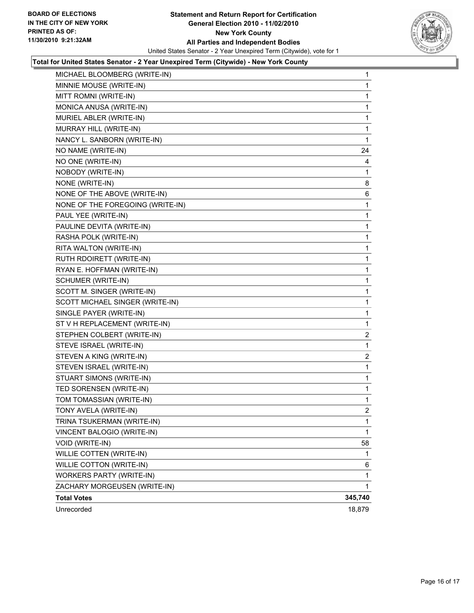

#### **Total for United States Senator - 2 Year Unexpired Term (Citywide) - New York County**

| MICHAEL BLOOMBERG (WRITE-IN)     | 1            |
|----------------------------------|--------------|
| MINNIE MOUSE (WRITE-IN)          | 1            |
| MITT ROMNI (WRITE-IN)            | 1            |
| MONICA ANUSA (WRITE-IN)          | 1            |
| MURIEL ABLER (WRITE-IN)          | 1            |
| MURRAY HILL (WRITE-IN)           | 1            |
| NANCY L. SANBORN (WRITE-IN)      | 1            |
| NO NAME (WRITE-IN)               | 24           |
| NO ONE (WRITE-IN)                | 4            |
| NOBODY (WRITE-IN)                | 1            |
| NONE (WRITE-IN)                  | 8            |
| NONE OF THE ABOVE (WRITE-IN)     | 6            |
| NONE OF THE FOREGOING (WRITE-IN) | 1            |
| PAUL YEE (WRITE-IN)              | 1            |
| PAULINE DEVITA (WRITE-IN)        | 1            |
| RASHA POLK (WRITE-IN)            | 1            |
| RITA WALTON (WRITE-IN)           | 1            |
| RUTH RDOIRETT (WRITE-IN)         | 1            |
| RYAN E. HOFFMAN (WRITE-IN)       | 1            |
| SCHUMER (WRITE-IN)               | 1            |
| SCOTT M. SINGER (WRITE-IN)       | 1            |
| SCOTT MICHAEL SINGER (WRITE-IN)  | 1            |
| SINGLE PAYER (WRITE-IN)          | $\mathbf{1}$ |
| ST V H REPLACEMENT (WRITE-IN)    | 1            |
| STEPHEN COLBERT (WRITE-IN)       | 2            |
| STEVE ISRAEL (WRITE-IN)          | 1            |
| STEVEN A KING (WRITE-IN)         | 2            |
| STEVEN ISRAEL (WRITE-IN)         | 1            |
| STUART SIMONS (WRITE-IN)         | 1            |
| TED SORENSEN (WRITE-IN)          | 1            |
| TOM TOMASSIAN (WRITE-IN)         | 1            |
| TONY AVELA (WRITE-IN)            | 2            |
| TRINA TSUKERMAN (WRITE-IN)       | 1            |
| VINCENT BALOGIO (WRITE-IN)       | 1            |
| <b>VOID (WRITE-IN)</b>           | 58           |
| WILLIE COTTEN (WRITE-IN)         | 1            |
| WILLIE COTTON (WRITE-IN)         | 6            |
| <b>WORKERS PARTY (WRITE-IN)</b>  | 1            |
| ZACHARY MORGEUSEN (WRITE-IN)     | 1            |
| <b>Total Votes</b>               | 345,740      |
| Unrecorded                       | 18,879       |